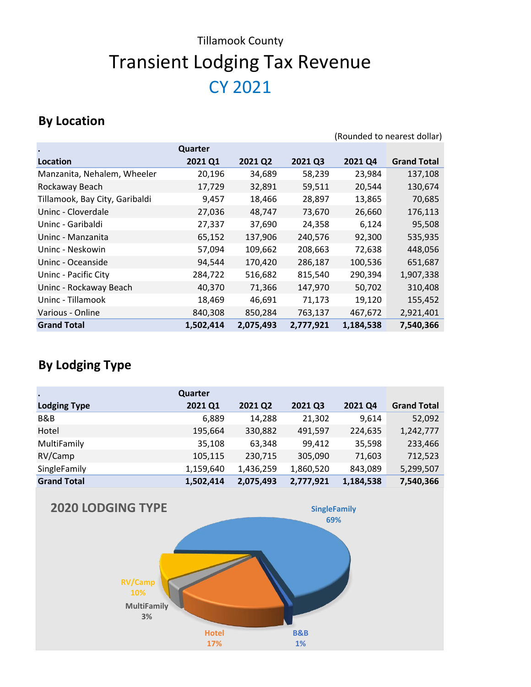(Rounded to nearest dollar)

#### **By Location**

|                                |           |           |           |           | $\frac{1}{2}$      |
|--------------------------------|-----------|-----------|-----------|-----------|--------------------|
|                                | Quarter   |           |           |           |                    |
| Location                       | 2021 Q1   | 2021 Q2   | 2021 Q3   | 2021 Q4   | <b>Grand Total</b> |
| Manzanita, Nehalem, Wheeler    | 20,196    | 34,689    | 58,239    | 23,984    | 137,108            |
| Rockaway Beach                 | 17,729    | 32,891    | 59,511    | 20,544    | 130,674            |
| Tillamook, Bay City, Garibaldi | 9,457     | 18,466    | 28,897    | 13,865    | 70,685             |
| Uninc - Cloverdale             | 27,036    | 48,747    | 73,670    | 26,660    | 176,113            |
| Uninc - Garibaldi              | 27,337    | 37,690    | 24,358    | 6,124     | 95,508             |
| Uninc - Manzanita              | 65,152    | 137,906   | 240,576   | 92,300    | 535,935            |
| Uninc - Neskowin               | 57,094    | 109,662   | 208,663   | 72,638    | 448,056            |
| Uninc - Oceanside              | 94,544    | 170,420   | 286,187   | 100,536   | 651,687            |
| Uninc - Pacific City           | 284,722   | 516,682   | 815,540   | 290,394   | 1,907,338          |
| Uninc - Rockaway Beach         | 40,370    | 71,366    | 147,970   | 50,702    | 310,408            |
| Uninc - Tillamook              | 18,469    | 46,691    | 71,173    | 19,120    | 155,452            |
| Various - Online               | 840,308   | 850,284   | 763,137   | 467,672   | 2,921,401          |
| <b>Grand Total</b>             | 1,502,414 | 2,075,493 | 2,777,921 | 1,184,538 | 7,540,366          |

|                     | Quarter   |           |           |           |                    |
|---------------------|-----------|-----------|-----------|-----------|--------------------|
| <b>Lodging Type</b> | 2021 Q1   | 2021 Q2   | 2021 Q3   | 2021 Q4   | <b>Grand Total</b> |
| B&B                 | 6,889     | 14,288    | 21,302    | 9,614     | 52,092             |
| Hotel               | 195,664   | 330,882   | 491,597   | 224,635   | 1,242,777          |
| MultiFamily         | 35,108    | 63,348    | 99,412    | 35,598    | 233,466            |
| RV/Camp             | 105,115   | 230,715   | 305,090   | 71,603    | 712,523            |
| SingleFamily        | 1,159,640 | 1,436,259 | 1,860,520 | 843,089   | 5,299,507          |
| <b>Grand Total</b>  | 1,502,414 | 2,075,493 | 2,777,921 | 1,184,538 | 7,540,366          |

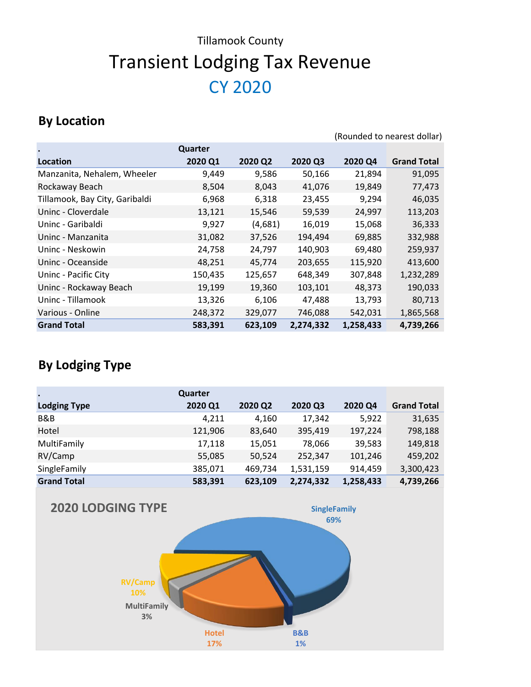#### **By Location**

|                                |         |         |           |           | (Rounded to nearest dollar) |
|--------------------------------|---------|---------|-----------|-----------|-----------------------------|
| $\bullet$                      | Quarter |         |           |           |                             |
| Location                       | 2020 Q1 | 2020 Q2 | 2020 Q3   | 2020 Q4   | <b>Grand Total</b>          |
| Manzanita, Nehalem, Wheeler    | 9,449   | 9,586   | 50,166    | 21,894    | 91,095                      |
| Rockaway Beach                 | 8,504   | 8,043   | 41,076    | 19,849    | 77,473                      |
| Tillamook, Bay City, Garibaldi | 6,968   | 6,318   | 23,455    | 9,294     | 46,035                      |
| Uninc - Cloverdale             | 13,121  | 15,546  | 59,539    | 24,997    | 113,203                     |
| Uninc - Garibaldi              | 9,927   | (4,681) | 16,019    | 15,068    | 36,333                      |
| Uninc - Manzanita              | 31,082  | 37,526  | 194,494   | 69,885    | 332,988                     |
| Uninc - Neskowin               | 24,758  | 24,797  | 140,903   | 69,480    | 259,937                     |
| Uninc - Oceanside              | 48,251  | 45,774  | 203,655   | 115,920   | 413,600                     |
| Uninc - Pacific City           | 150,435 | 125,657 | 648,349   | 307,848   | 1,232,289                   |
| Uninc - Rockaway Beach         | 19,199  | 19,360  | 103,101   | 48,373    | 190,033                     |
| Uninc - Tillamook              | 13,326  | 6,106   | 47,488    | 13,793    | 80,713                      |
| Various - Online               | 248,372 | 329,077 | 746,088   | 542,031   | 1,865,568                   |
| <b>Grand Total</b>             | 583,391 | 623,109 | 2,274,332 | 1,258,433 | 4,739,266                   |

| $\bullet$           | Quarter |         |           |           |                    |
|---------------------|---------|---------|-----------|-----------|--------------------|
| <b>Lodging Type</b> | 2020 Q1 | 2020 Q2 | 2020 Q3   | 2020 Q4   | <b>Grand Total</b> |
| B&B                 | 4,211   | 4,160   | 17,342    | 5,922     | 31,635             |
| Hotel               | 121,906 | 83,640  | 395,419   | 197,224   | 798,188            |
| MultiFamily         | 17,118  | 15,051  | 78,066    | 39,583    | 149,818            |
| RV/Camp             | 55,085  | 50,524  | 252,347   | 101,246   | 459,202            |
| SingleFamily        | 385,071 | 469,734 | 1,531,159 | 914,459   | 3,300,423          |
| <b>Grand Total</b>  | 583,391 | 623,109 | 2,274,332 | 1,258,433 | 4,739,266          |

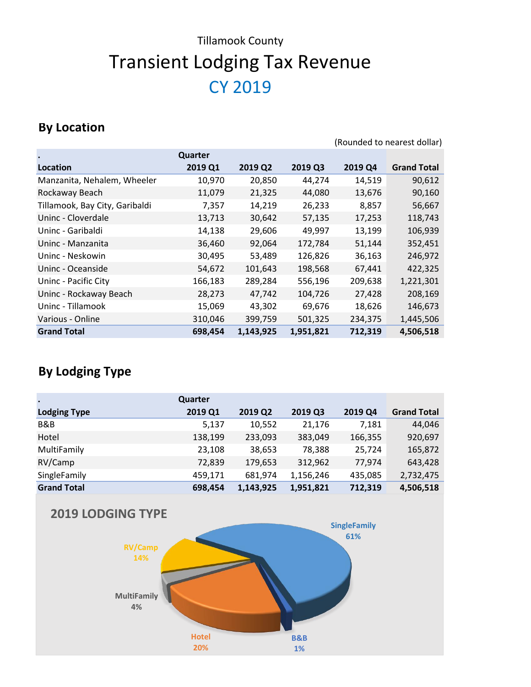#### **By Location**

|                                |         |           |           |         | (Rounded to nearest dollar) |
|--------------------------------|---------|-----------|-----------|---------|-----------------------------|
|                                | Quarter |           |           |         |                             |
| Location                       | 2019 Q1 | 2019 Q2   | 2019 Q3   | 2019 Q4 | <b>Grand Total</b>          |
| Manzanita, Nehalem, Wheeler    | 10,970  | 20,850    | 44,274    | 14,519  | 90,612                      |
| Rockaway Beach                 | 11,079  | 21,325    | 44,080    | 13,676  | 90,160                      |
| Tillamook, Bay City, Garibaldi | 7,357   | 14,219    | 26,233    | 8,857   | 56,667                      |
| Uninc - Cloverdale             | 13,713  | 30,642    | 57,135    | 17,253  | 118,743                     |
| Uninc - Garibaldi              | 14,138  | 29,606    | 49,997    | 13,199  | 106,939                     |
| Uninc - Manzanita              | 36,460  | 92,064    | 172,784   | 51,144  | 352,451                     |
| Uninc - Neskowin               | 30,495  | 53,489    | 126,826   | 36,163  | 246,972                     |
| Uninc - Oceanside              | 54,672  | 101,643   | 198,568   | 67,441  | 422,325                     |
| Uninc - Pacific City           | 166,183 | 289,284   | 556,196   | 209,638 | 1,221,301                   |
| Uninc - Rockaway Beach         | 28,273  | 47,742    | 104,726   | 27,428  | 208,169                     |
| Uninc - Tillamook              | 15,069  | 43,302    | 69,676    | 18,626  | 146,673                     |
| Various - Online               | 310,046 | 399,759   | 501,325   | 234,375 | 1,445,506                   |
| <b>Grand Total</b>             | 698,454 | 1,143,925 | 1,951,821 | 712,319 | 4,506,518                   |

| $\bullet$           | Quarter |           |           |         |                    |
|---------------------|---------|-----------|-----------|---------|--------------------|
| <b>Lodging Type</b> | 2019 Q1 | 2019 Q2   | 2019 Q3   | 2019 Q4 | <b>Grand Total</b> |
| B&B                 | 5,137   | 10,552    | 21,176    | 7,181   | 44,046             |
| Hotel               | 138,199 | 233,093   | 383,049   | 166,355 | 920,697            |
| MultiFamily         | 23,108  | 38,653    | 78,388    | 25,724  | 165,872            |
| RV/Camp             | 72,839  | 179,653   | 312,962   | 77,974  | 643,428            |
| SingleFamily        | 459,171 | 681,974   | 1,156,246 | 435,085 | 2,732,475          |
| <b>Grand Total</b>  | 698,454 | 1,143,925 | 1,951,821 | 712,319 | 4,506,518          |

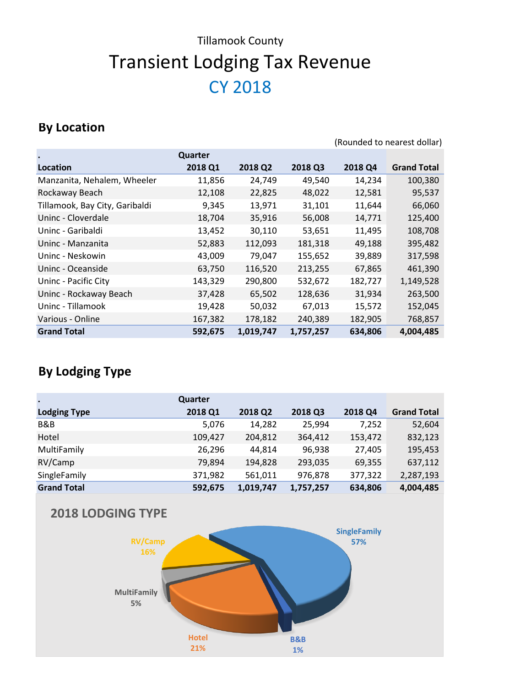#### **By Location**

|                                |         |           |           |         | (Rounded to nearest dollar) |
|--------------------------------|---------|-----------|-----------|---------|-----------------------------|
| $\bullet$                      | Quarter |           |           |         |                             |
| Location                       | 2018 Q1 | 2018 Q2   | 2018 Q3   | 2018 Q4 | <b>Grand Total</b>          |
| Manzanita, Nehalem, Wheeler    | 11,856  | 24,749    | 49,540    | 14,234  | 100,380                     |
| Rockaway Beach                 | 12,108  | 22,825    | 48,022    | 12,581  | 95,537                      |
| Tillamook, Bay City, Garibaldi | 9,345   | 13,971    | 31,101    | 11,644  | 66,060                      |
| Uninc - Cloverdale             | 18,704  | 35,916    | 56,008    | 14,771  | 125,400                     |
| Uninc - Garibaldi              | 13,452  | 30,110    | 53,651    | 11,495  | 108,708                     |
| Uninc - Manzanita              | 52,883  | 112,093   | 181,318   | 49,188  | 395,482                     |
| Uninc - Neskowin               | 43,009  | 79,047    | 155,652   | 39,889  | 317,598                     |
| Uninc - Oceanside              | 63,750  | 116,520   | 213,255   | 67,865  | 461,390                     |
| Uninc - Pacific City           | 143,329 | 290,800   | 532,672   | 182,727 | 1,149,528                   |
| Uninc - Rockaway Beach         | 37,428  | 65,502    | 128,636   | 31,934  | 263,500                     |
| Uninc - Tillamook              | 19,428  | 50,032    | 67,013    | 15,572  | 152,045                     |
| Various - Online               | 167,382 | 178,182   | 240,389   | 182,905 | 768,857                     |
| <b>Grand Total</b>             | 592,675 | 1,019,747 | 1,757,257 | 634,806 | 4,004,485                   |

## **By Lodging Type**

| $\bullet$           | Quarter |           |           |         |                    |
|---------------------|---------|-----------|-----------|---------|--------------------|
| <b>Lodging Type</b> | 2018 Q1 | 2018 Q2   | 2018 Q3   | 2018 Q4 | <b>Grand Total</b> |
| B&B                 | 5,076   | 14,282    | 25,994    | 7,252   | 52,604             |
| Hotel               | 109,427 | 204,812   | 364,412   | 153,472 | 832,123            |
| MultiFamily         | 26,296  | 44.814    | 96,938    | 27,405  | 195,453            |
| RV/Camp             | 79,894  | 194,828   | 293,035   | 69,355  | 637,112            |
| SingleFamily        | 371,982 | 561,011   | 976,878   | 377,322 | 2,287,193          |
| <b>Grand Total</b>  | 592,675 | 1,019,747 | 1,757,257 | 634,806 | 4,004,485          |



#### **2018 LODGING TYPE**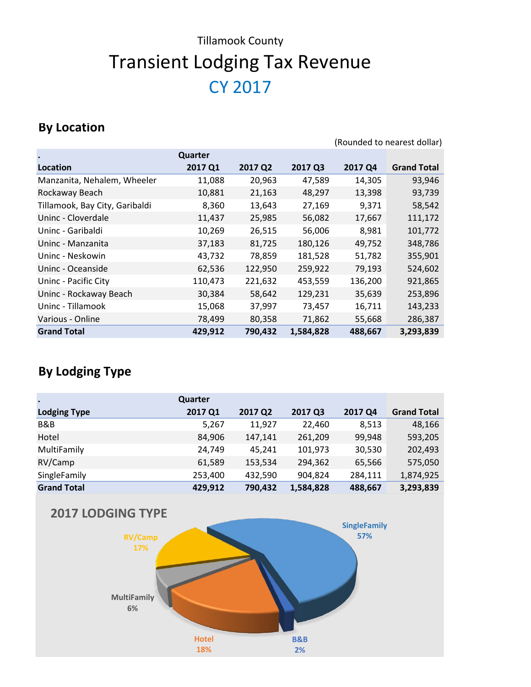#### **By Location**

|                                |         |         |           |         | (Rounded to nearest dollar) |
|--------------------------------|---------|---------|-----------|---------|-----------------------------|
|                                | Quarter |         |           |         |                             |
| Location                       | 2017 Q1 | 2017 Q2 | 2017 Q3   | 2017 Q4 | <b>Grand Total</b>          |
| Manzanita, Nehalem, Wheeler    | 11,088  | 20,963  | 47,589    | 14,305  | 93,946                      |
| Rockaway Beach                 | 10,881  | 21,163  | 48,297    | 13,398  | 93,739                      |
| Tillamook, Bay City, Garibaldi | 8,360   | 13,643  | 27,169    | 9,371   | 58,542                      |
| Uninc - Cloverdale             | 11,437  | 25,985  | 56,082    | 17,667  | 111,172                     |
| Uninc - Garibaldi              | 10,269  | 26,515  | 56,006    | 8,981   | 101,772                     |
| Uninc - Manzanita              | 37,183  | 81,725  | 180,126   | 49,752  | 348,786                     |
| Uninc - Neskowin               | 43,732  | 78,859  | 181,528   | 51,782  | 355,901                     |
| Uninc - Oceanside              | 62,536  | 122,950 | 259,922   | 79,193  | 524,602                     |
| Uninc - Pacific City           | 110,473 | 221,632 | 453,559   | 136,200 | 921,865                     |
| Uninc - Rockaway Beach         | 30,384  | 58,642  | 129,231   | 35,639  | 253,896                     |
| Uninc - Tillamook              | 15,068  | 37,997  | 73,457    | 16,711  | 143,233                     |
| Various - Online               | 78,499  | 80,358  | 71,862    | 55,668  | 286,387                     |
| <b>Grand Total</b>             | 429,912 | 790,432 | 1,584,828 | 488,667 | 3,293,839                   |

| $\bullet$           | Quarter |         |           |         |                    |
|---------------------|---------|---------|-----------|---------|--------------------|
| <b>Lodging Type</b> | 2017 Q1 | 2017 Q2 | 2017 Q3   | 2017 Q4 | <b>Grand Total</b> |
| B&B                 | 5,267   | 11,927  | 22,460    | 8,513   | 48,166             |
| Hotel               | 84,906  | 147,141 | 261,209   | 99,948  | 593,205            |
| MultiFamily         | 24,749  | 45,241  | 101,973   | 30,530  | 202,493            |
| RV/Camp             | 61,589  | 153,534 | 294,362   | 65,566  | 575,050            |
| SingleFamily        | 253,400 | 432,590 | 904,824   | 284,111 | 1,874,925          |
| <b>Grand Total</b>  | 429,912 | 790,432 | 1,584,828 | 488,667 | 3,293,839          |

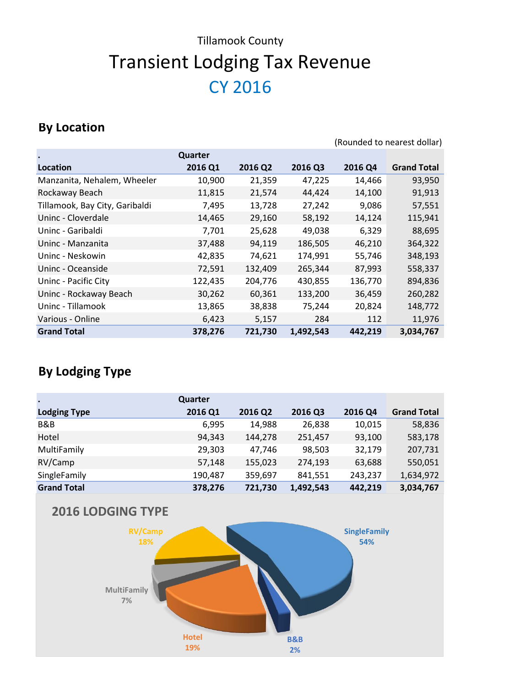# CY 2016 Transient Lodging Tax Revenue Tillamook County

#### **By Location**

|                                |         |         |           |         | (Rounded to nearest dollar) |
|--------------------------------|---------|---------|-----------|---------|-----------------------------|
|                                | Quarter |         |           |         |                             |
| Location                       | 2016 Q1 | 2016 Q2 | 2016 Q3   | 2016 Q4 | <b>Grand Total</b>          |
| Manzanita, Nehalem, Wheeler    | 10,900  | 21,359  | 47,225    | 14,466  | 93,950                      |
| Rockaway Beach                 | 11,815  | 21,574  | 44,424    | 14,100  | 91,913                      |
| Tillamook, Bay City, Garibaldi | 7,495   | 13,728  | 27,242    | 9,086   | 57,551                      |
| Uninc - Cloverdale             | 14,465  | 29,160  | 58,192    | 14,124  | 115,941                     |
| Uninc - Garibaldi              | 7,701   | 25,628  | 49,038    | 6,329   | 88,695                      |
| Uninc - Manzanita              | 37,488  | 94,119  | 186,505   | 46,210  | 364,322                     |
| Uninc - Neskowin               | 42,835  | 74,621  | 174,991   | 55,746  | 348,193                     |
| Uninc - Oceanside              | 72,591  | 132,409 | 265,344   | 87,993  | 558,337                     |
| Uninc - Pacific City           | 122,435 | 204,776 | 430,855   | 136,770 | 894,836                     |
| Uninc - Rockaway Beach         | 30,262  | 60,361  | 133,200   | 36,459  | 260,282                     |
| Uninc - Tillamook              | 13,865  | 38,838  | 75,244    | 20,824  | 148,772                     |
| Various - Online               | 6,423   | 5,157   | 284       | 112     | 11,976                      |
| <b>Grand Total</b>             | 378,276 | 721,730 | 1,492,543 | 442,219 | 3,034,767                   |

| $\bullet$           | Quarter |         |           |         |                    |
|---------------------|---------|---------|-----------|---------|--------------------|
| <b>Lodging Type</b> | 2016 Q1 | 2016 Q2 | 2016 Q3   | 2016 Q4 | <b>Grand Total</b> |
| B&B                 | 6,995   | 14,988  | 26,838    | 10,015  | 58,836             |
| Hotel               | 94,343  | 144,278 | 251,457   | 93,100  | 583,178            |
| MultiFamily         | 29,303  | 47.746  | 98,503    | 32,179  | 207,731            |
| RV/Camp             | 57,148  | 155,023 | 274,193   | 63,688  | 550,051            |
| SingleFamily        | 190,487 | 359,697 | 841,551   | 243,237 | 1,634,972          |
| <b>Grand Total</b>  | 378,276 | 721,730 | 1,492,543 | 442,219 | 3,034,767          |

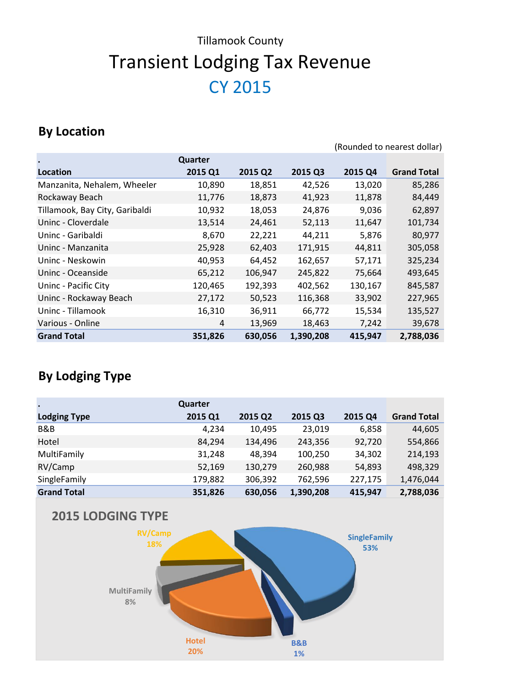## **By Location**

(Rounded to nearest dollar)

| $\bullet$                      | Quarter |         |           |         |                    |
|--------------------------------|---------|---------|-----------|---------|--------------------|
| Location                       | 2015 Q1 | 2015 Q2 | 2015 Q3   | 2015 Q4 | <b>Grand Total</b> |
| Manzanita, Nehalem, Wheeler    | 10,890  | 18,851  | 42,526    | 13,020  | 85,286             |
| Rockaway Beach                 | 11,776  | 18,873  | 41,923    | 11,878  | 84,449             |
| Tillamook, Bay City, Garibaldi | 10,932  | 18,053  | 24,876    | 9,036   | 62,897             |
| Uninc - Cloverdale             | 13,514  | 24,461  | 52,113    | 11,647  | 101,734            |
| Uninc - Garibaldi              | 8,670   | 22,221  | 44,211    | 5,876   | 80,977             |
| Uninc - Manzanita              | 25,928  | 62,403  | 171,915   | 44,811  | 305,058            |
| Uninc - Neskowin               | 40,953  | 64,452  | 162,657   | 57,171  | 325,234            |
| Uninc - Oceanside              | 65,212  | 106,947 | 245,822   | 75,664  | 493,645            |
| Uninc - Pacific City           | 120,465 | 192,393 | 402,562   | 130,167 | 845,587            |
| Uninc - Rockaway Beach         | 27,172  | 50,523  | 116,368   | 33,902  | 227,965            |
| Uninc - Tillamook              | 16,310  | 36,911  | 66,772    | 15,534  | 135,527            |
| Various - Online               | 4       | 13,969  | 18,463    | 7,242   | 39,678             |
| <b>Grand Total</b>             | 351,826 | 630,056 | 1,390,208 | 415,947 | 2,788,036          |

## **By Lodging Type**

| $\bullet$           | Quarter |         |           |         |                    |
|---------------------|---------|---------|-----------|---------|--------------------|
| <b>Lodging Type</b> | 2015 Q1 | 2015 Q2 | 2015 Q3   | 2015 Q4 | <b>Grand Total</b> |
| B&B                 | 4,234   | 10,495  | 23,019    | 6,858   | 44,605             |
| Hotel               | 84,294  | 134,496 | 243,356   | 92,720  | 554,866            |
| MultiFamily         | 31,248  | 48,394  | 100,250   | 34,302  | 214,193            |
| RV/Camp             | 52,169  | 130,279 | 260,988   | 54,893  | 498,329            |
| SingleFamily        | 179,882 | 306,392 | 762,596   | 227,175 | 1,476,044          |
| <b>Grand Total</b>  | 351,826 | 630,056 | 1,390,208 | 415,947 | 2,788,036          |



**2015 LODGING TYPE**